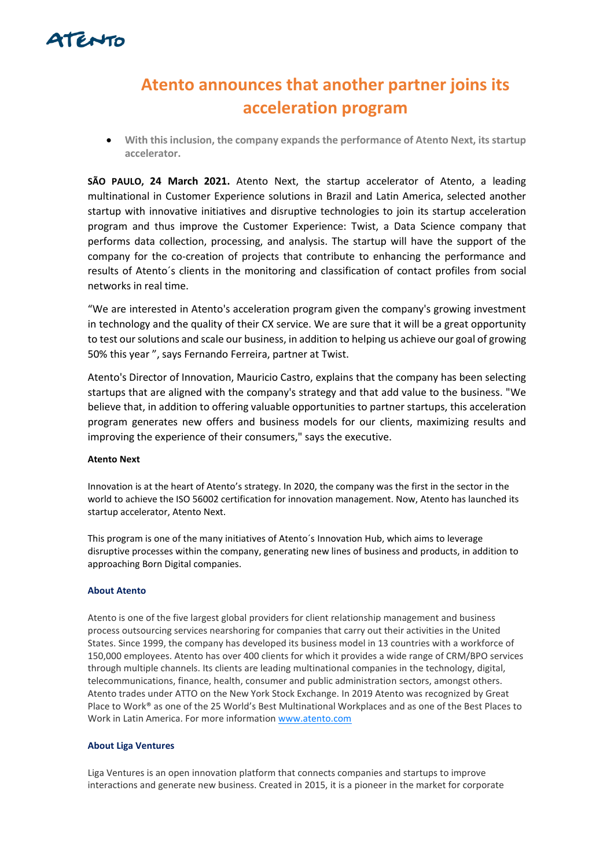

# **Atento announces that another partner joins its acceleration program**

• **With this inclusion, the company expands the performance of Atento Next, its startup accelerator.**

**SÃO PAULO, 24 March 2021.** Atento Next, the startup accelerator of Atento, a leading multinational in Customer Experience solutions in Brazil and Latin America, selected another startup with innovative initiatives and disruptive technologies to join its startup acceleration program and thus improve the Customer Experience: Twist, a Data Science company that performs data collection, processing, and analysis. The startup will have the support of the company for the co-creation of projects that contribute to enhancing the performance and results of Atento´s clients in the monitoring and classification of contact profiles from social networks in real time.

"We are interested in Atento's acceleration program given the company's growing investment in technology and the quality of their CX service. We are sure that it will be a great opportunity to test our solutions and scale our business, in addition to helping us achieve our goal of growing 50% this year ", says Fernando Ferreira, partner at Twist.

Atento's Director of Innovation, Mauricio Castro, explains that the company has been selecting startups that are aligned with the company's strategy and that add value to the business. "We believe that, in addition to offering valuable opportunities to partner startups, this acceleration program generates new offers and business models for our clients, maximizing results and improving the experience of their consumers," says the executive.

# **Atento Next**

Innovation is at the heart of Atento's strategy. In 2020, the company was the first in the sector in the world to achieve the ISO 56002 certification for innovation management. Now, Atento has launched its startup accelerator, Atento Next.

This program is one of the many initiatives of Atento´s Innovation Hub, which aims to leverage disruptive processes within the company, generating new lines of business and products, in addition to approaching Born Digital companies.

## **About Atento**

Atento is one of the five largest global providers for client relationship management and business process outsourcing services nearshoring for companies that carry out their activities in the United States. Since 1999, the company has developed its business model in 13 countries with a workforce of 150,000 employees. Atento has over 400 clients for which it provides a wide range of CRM/BPO services through multiple channels. Its clients are leading multinational companies in the technology, digital, telecommunications, finance, health, consumer and public administration sectors, amongst others. Atento trades under ATTO on the New York Stock Exchange. In 2019 Atento was recognized by Great Place to Work® as one of the 25 World's Best Multinational Workplaces and as one of the Best Places to Work in Latin America. For more information [www.atento.com](https://www.atento.com/)

### **About Liga Ventures**

Liga Ventures is an open innovation platform that connects companies and startups to improve interactions and generate new business. Created in 2015, it is a pioneer in the market for corporate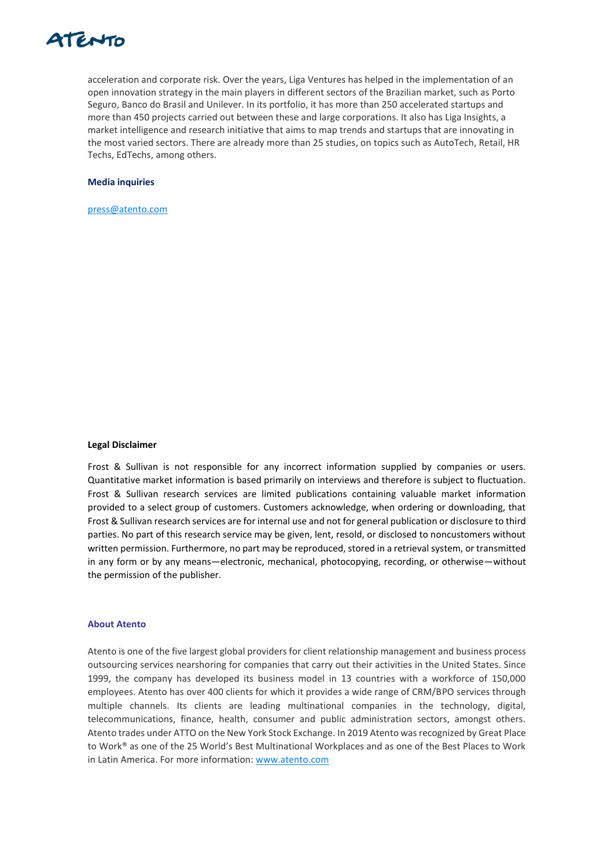

acceleration and corporate risk. Over the years, Liga Ventures has helped in the implementation of an open innovation strategy in the main players in different sectors of the Brazilian market, such as Porto Seguro, Banco do Brasil and Unilever. In its portfolio, it has more than 250 accelerated startups and more than 450 projects carried out between these and large corporations. It also has Liga Insights, a market intelligence and research initiative that aims to map trends and startups that are innovating in the most varied sectors. There are already more than 25 studies, on topics such as AutoTech, Retail, HR Techs, EdTechs, among others.

#### **Media inquiries**

[press@atento.com](mailto:press@atento.com)

#### **Legal Disclaimer**

Frost & Sullivan is not responsible for any incorrect information supplied by companies or users. Quantitative market information is based primarily on interviews and therefore is subject to fluctuation. Frost & Sullivan research services are limited publications containing valuable market information provided to a select group of customers. Customers acknowledge, when ordering or downloading, that Frost & Sullivan research services are for internal use and not for general publication or disclosure to third parties. No part of this research service may be given, lent, resold, or disclosed to noncustomers without written permission. Furthermore, no part may be reproduced, stored in a retrieval system, or transmitted in any form or by any means—electronic, mechanical, photocopying, recording, or otherwise—without the permission of the publisher.

#### **About Atento**

Atento is one of the five largest global providers for client relationship management and business process outsourcing services nearshoring for companies that carry out their activities in the United States. Since 1999, the company has developed its business model in 13 countries with a workforce of 150,000 employees. Atento has over 400 clients for which it provides a wide range of CRM/BPO services through multiple channels. Its clients are leading multinational companies in the technology, digital, telecommunications, finance, health, consumer and public administration sectors, amongst others. Atento trades under ATTO on the New York Stock Exchange. In 2019 Atento was recognized by Great Place to Work® as one of the 25 World's Best Multinational Workplaces and as one of the Best Places to Work in Latin America. For more information: [www.atento.com](https://www.atento.com/)